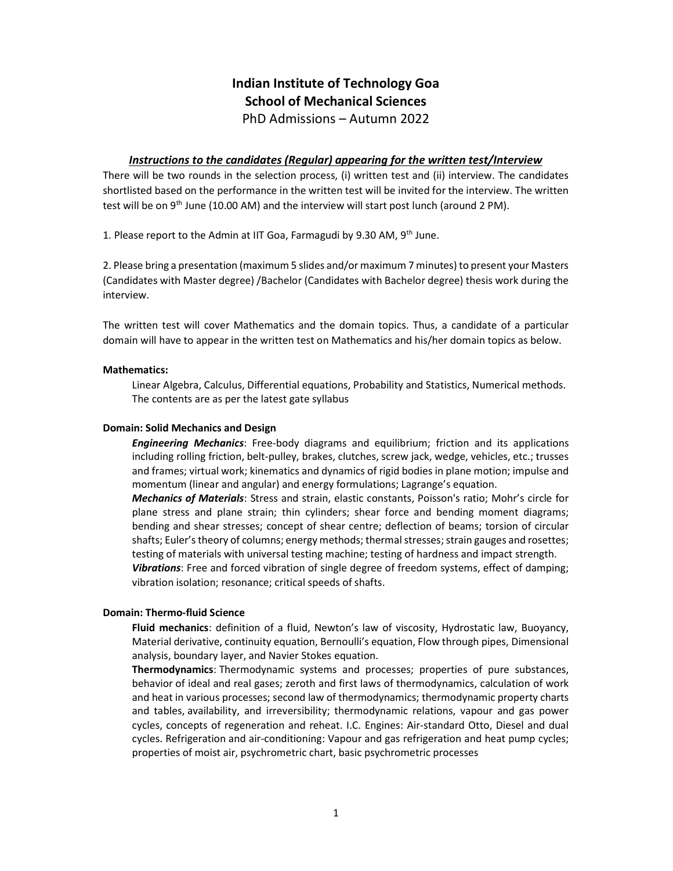# Indian Institute of Technology Goa School of Mechanical Sciences

PhD Admissions – Autumn 2022

## **Instructions to the candidates (Regular) appearing for the written test/Interview**

There will be two rounds in the selection process, (i) written test and (ii) interview. The candidates shortlisted based on the performance in the written test will be invited for the interview. The written test will be on  $9<sup>th</sup>$  June (10.00 AM) and the interview will start post lunch (around 2 PM).

1. Please report to the Admin at IIT Goa, Farmagudi by 9.30 AM,  $9<sup>th</sup>$  June.

2. Please bring a presentation (maximum 5 slides and/or maximum 7 minutes) to present your Masters (Candidates with Master degree) /Bachelor (Candidates with Bachelor degree) thesis work during the interview.

The written test will cover Mathematics and the domain topics. Thus, a candidate of a particular domain will have to appear in the written test on Mathematics and his/her domain topics as below.

#### Mathematics:

Linear Algebra, Calculus, Differential equations, Probability and Statistics, Numerical methods. The contents are as per the latest gate syllabus

#### Domain: Solid Mechanics and Design

**Engineering Mechanics:** Free-body diagrams and equilibrium; friction and its applications including rolling friction, belt-pulley, brakes, clutches, screw jack, wedge, vehicles, etc.; trusses and frames; virtual work; kinematics and dynamics of rigid bodies in plane motion; impulse and momentum (linear and angular) and energy formulations; Lagrange's equation.

Mechanics of Materials: Stress and strain, elastic constants, Poisson's ratio; Mohr's circle for plane stress and plane strain; thin cylinders; shear force and bending moment diagrams; bending and shear stresses; concept of shear centre; deflection of beams; torsion of circular shafts; Euler's theory of columns; energy methods; thermal stresses; strain gauges and rosettes; testing of materials with universal testing machine; testing of hardness and impact strength.

Vibrations: Free and forced vibration of single degree of freedom systems, effect of damping; vibration isolation; resonance; critical speeds of shafts.

## Domain: Thermo-fluid Science

Fluid mechanics: definition of a fluid, Newton's law of viscosity, Hydrostatic law, Buoyancy, Material derivative, continuity equation, Bernoulli's equation, Flow through pipes, Dimensional analysis, boundary layer, and Navier Stokes equation.

Thermodynamics: Thermodynamic systems and processes; properties of pure substances, behavior of ideal and real gases; zeroth and first laws of thermodynamics, calculation of work and heat in various processes; second law of thermodynamics; thermodynamic property charts and tables, availability, and irreversibility; thermodynamic relations, vapour and gas power cycles, concepts of regeneration and reheat. I.C. Engines: Air-standard Otto, Diesel and dual cycles. Refrigeration and air-conditioning: Vapour and gas refrigeration and heat pump cycles; properties of moist air, psychrometric chart, basic psychrometric processes